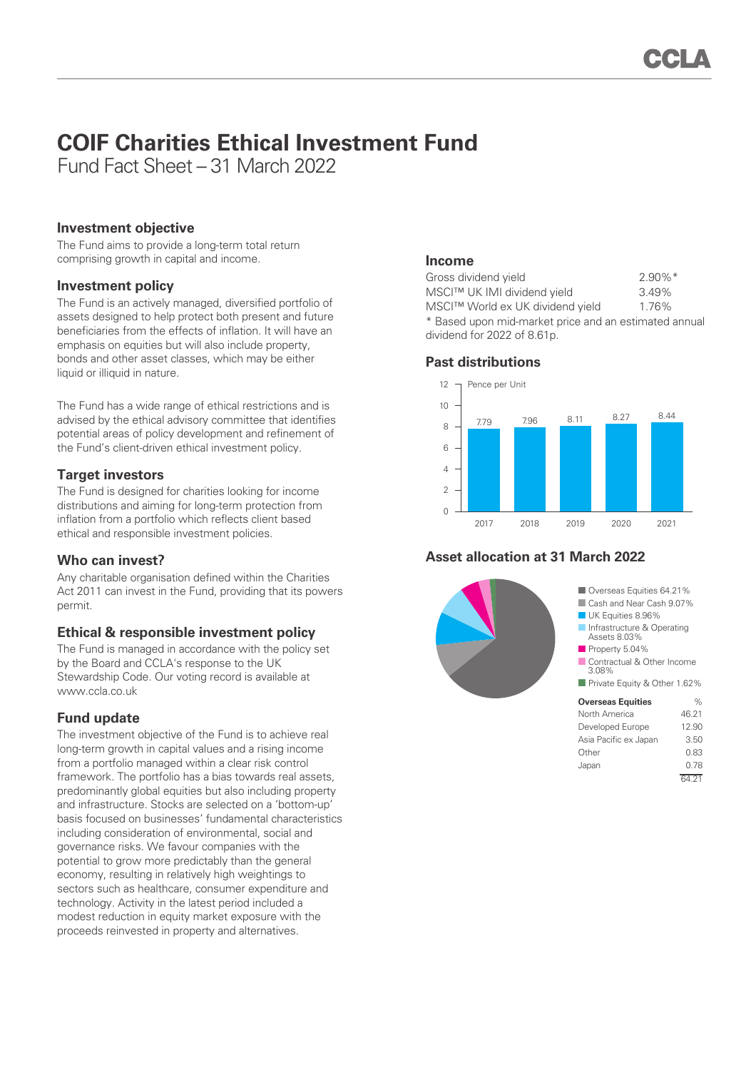# **COIF Charities Ethical Investment Fund**

Fund Fact Sheet – 31 March 2022

#### **Investment objective**

The Fund aims to provide a long-term total return comprising growth in capital and income.

#### **Investment policy**

The Fund is an actively managed, diversified portfolio of assets designed to help protect both present and future beneficiaries from the effects of inflation. It will have an emphasis on equities but will also include property, bonds and other asset classes, which may be either liquid or illiquid in nature.

The Fund has a wide range of ethical restrictions and is advised by the ethical advisory committee that identifies potential areas of policy development and refinement of the Fund's client-driven ethical investment policy.

## **Target investors**

The Fund is designed for charities looking for income distributions and aiming for long-term protection from inflation from a portfolio which reflects client based ethical and responsible investment policies.

## **Who can invest?**

Any charitable organisation defined within the Charities Act 2011 can invest in the Fund, providing that its powers permit.

## **Ethical & responsible investment policy**

The Fund is managed in accordance with the policy set by the Board and CCLA's response to the UK Stewardship Code. Our voting record is available at www.ccla.co.uk

## **Fund update**

The investment objective of the Fund is to achieve real long-term growth in capital values and a rising income from a portfolio managed within a clear risk control framework. The portfolio has a bias towards real assets, predominantly global equities but also including property and infrastructure. Stocks are selected on a 'bottom-up' basis focused on businesses' fundamental characteristics including consideration of environmental, social and governance risks. We favour companies with the potential to grow more predictably than the general economy, resulting in relatively high weightings to sectors such as healthcare, consumer expenditure and technology. Activity in the latest period included a modest reduction in equity market exposure with the proceeds reinvested in property and alternatives.

## **Income**

| Gross dividend yield                                                                 | $2.90\%$ <sup>*</sup> |
|--------------------------------------------------------------------------------------|-----------------------|
| MSCI™ UK IMI dividend yield                                                          | 3.49%                 |
| MSCI™ World ex UK dividend yield                                                     | 1.76%                 |
| * Based upon mid-market price and an estimated annual<br>dividend for 2022 of 8.61p. |                       |
|                                                                                      |                       |

#### **Past distributions**



# **Asset allocation at 31 March 2022**